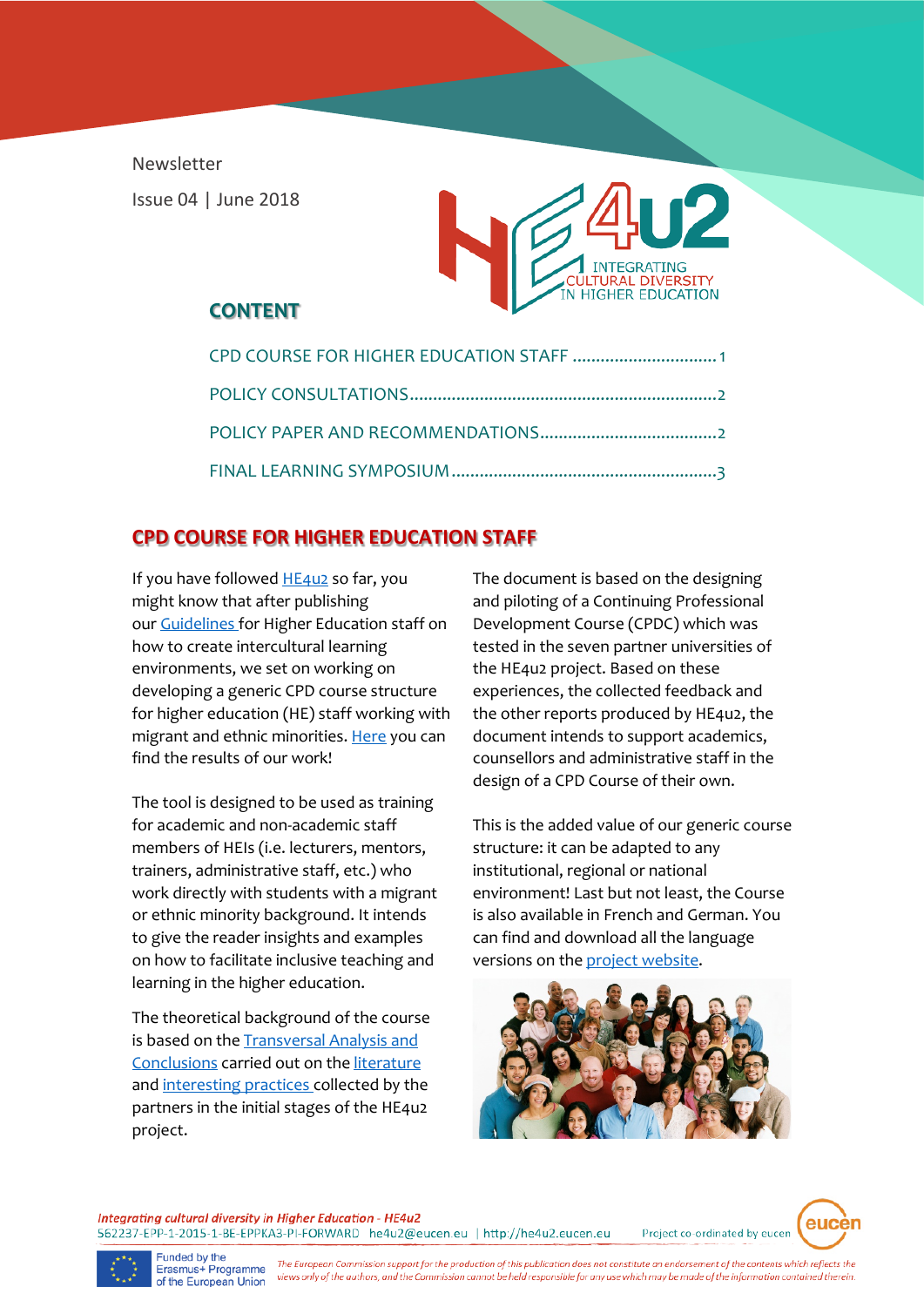Newsletter Issue 04 | June 2018



### **CONTENT**

| CPD COURSE FOR HIGHER EDUCATION STAFF  1 |
|------------------------------------------|
|                                          |
|                                          |
|                                          |

# **CPD COURSE FOR HIGHER EDUCATION STAFF**

If you have followed [HE4u2](http://he4u2.eucen.eu/) so far, you might know that after publishing our [Guidelines f](http://he4u2.eucen.eu/wp-content/uploads/2016/04/HE4u2_D2-5_Guidelines_JS_FINALNEW.pdf)or Higher Education staff on how to create intercultural learning environments, we set on working on developing a generic CPD course structure for higher education (HE) staff working with migrant and ethnic minorities[. Here](http://he4u2.eucen.eu/wp-content/uploads/2018/03/HE4u2_d3-1_GenericCourse_FINAL.pdf) you can find the results of our work!

The tool is designed to be used as training for academic and non-academic staff members of HEIs (i.e. lecturers, mentors, trainers, administrative staff, etc.) who work directly with students with a migrant or ethnic minority background. It intends to give the reader insights and examples on how to facilitate inclusive teaching and learning in the higher education.

The theoretical background of the course is based on the [Transversal Analysis](http://he4u2.eucen.eu/wp-content/uploads/2016/04/HE4u2_WP1_d1.2_TransversalAnalysis_Final.pdf) and Conclusions carried out on the [literature](http://he4u2.eucen.eu/literature/) and [interesting practices](http://he4u2.eucen.eu/good-practices/) collected by the partners in the initial stages of the HE4u2 project.

The document is based on the designing and piloting of a Continuing Professional Development Course (CPDC) which was tested in the seven partner universities of the HE4u2 project. Based on these experiences, the collected feedback and the other reports produced by HE4u2, the document intends to support academics, counsellors and administrative staff in the design of a CPD Course of their own.

This is the added value of our generic course structure: it can be adapted to any institutional, regional or national environment! Last but not least, the Course is also available in French and German. You can find and download all the language versions on the [project website.](http://he4u2.eucen.eu/outputs/)



Integrating cultural diversity in Higher Education - HE4u2 562237-EPP-1-2015-1-BE-EPPKA3-PI-FORWARD he4u2@eucen.eu | http://he4u2.eucen.eu

eucèi Project co-ordinated by eucen



Funded by the<br>Erasmus+ Programme of the European Union

The European Commission support for the production of this publication does not constitute an endorsement of the contents which reflects the views only of the authors, and the Commission cannot be held responsible for any use which may be made of the information contained therein.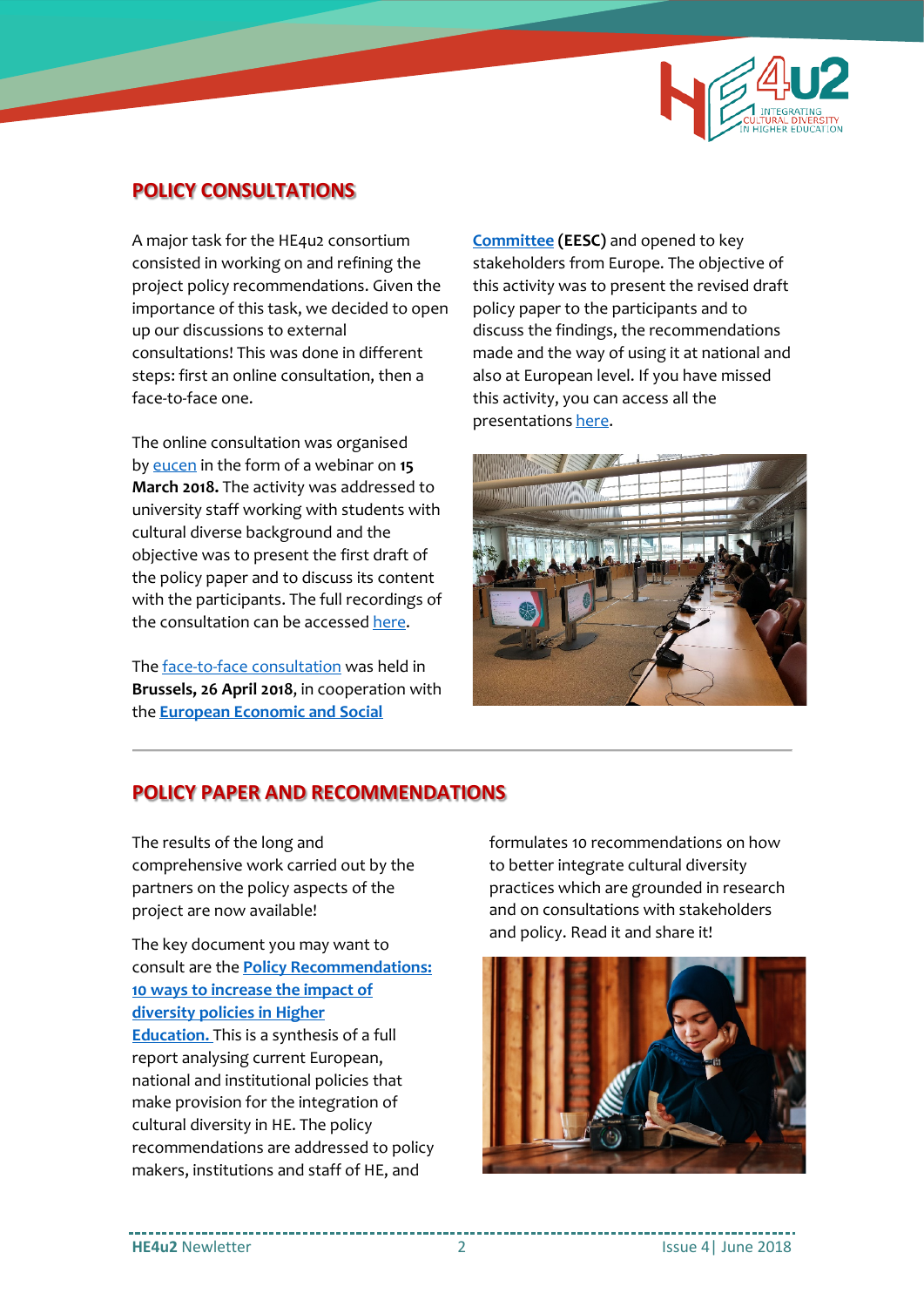

### **POLICY CONSULTATIONS**

A major task for the HE4u2 consortium consisted in working on and refining the project policy recommendations. Given the importance of this task, we decided to open up our discussions to external consultations! This was done in different steps: first an online consultation, then a face-to-face one.

The online consultation was organised b[y eucen](http://www.eucen.eu/) in the form of a webinar on **15 March 2018.** The activity was addressed to university staff working with students with cultural diverse background and the objective was to present the first draft of the policy paper and to discuss its content with the participants. The full recordings of the consultation can be accesse[d here.](https://youtu.be/JoFfPi6cdy4)

Th[e face-to-face consultation](http://he4u2.eucen.eu/wp-content/uploads/2016/04/HE4u2_Consultation_v1-8_FINAL_260318.pdf) was held in **Brussels, 26 April 2018**, in cooperation with the **[European Economic and Social](https://www.eesc.europa.eu/)** 

**[Committee](https://www.eesc.europa.eu/) (EESC)** and opened to key stakeholders from Europe. The objective of this activity was to present the revised draft policy paper to the participants and to discuss the findings, the recommendations made and the way of using it at national and also at European level. If you have missed this activity, you can access all the presentation[s here.](http://he4u2.eucen.eu/open-events/)



#### **POLICY PAPER AND RECOMMENDATIONS**

The results of the long and comprehensive work carried out by the partners on the policy aspects of the project are now available!

The key document you may want to consult are the **[Policy Recommendations:](http://he4u2.eucen.eu/outputs/)  [10 ways to increase the impact of](http://he4u2.eucen.eu/outputs/)  [diversity policies in Higher](http://he4u2.eucen.eu/outputs/)  [Education.](http://he4u2.eucen.eu/outputs/)** This is a synthesis of a full report analysing current European, national and institutional policies that make provision for the integration of cultural diversity in HE. The policy recommendations are addressed to policy makers, institutions and staff of HE, and

formulates 10 recommendations on how to better integrate cultural diversity practices which are grounded in research and on consultations with stakeholders and policy. Read it and share it!